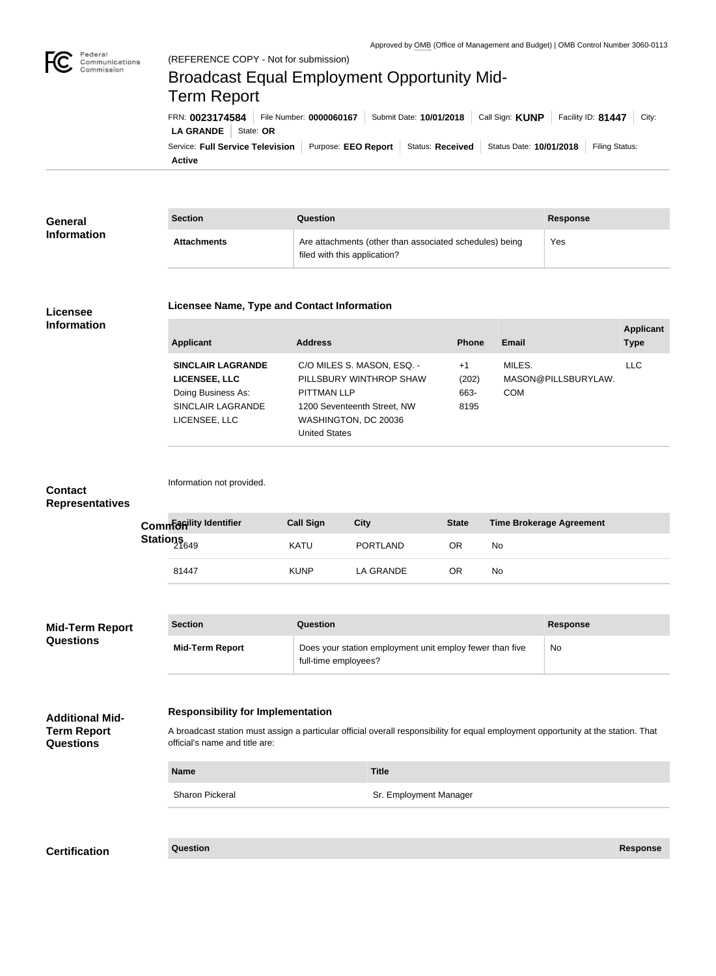

Federal

**Active**

# Service: Full Service Television | Purpose: EEO Report | Status: Received | Status Date: 10/01/2018 | Filing Status: **LA GRANDE** | State: OR FRN: **0023174584** File Number: **0000060167** Submit Date: **10/01/2018** Call Sign: **KUNP** Facility ID: **81447** City: (REFERENCE COPY - Not for submission) Broadcast Equal Employment Opportunity Mid-Term Report

| General            | <b>Section</b>     | Question                                                                                | Response |
|--------------------|--------------------|-----------------------------------------------------------------------------------------|----------|
| <b>Information</b> | <b>Attachments</b> | Are attachments (other than associated schedules) being<br>filed with this application? | Yes      |

## **Licensee Information**

#### **Licensee Name, Type and Contact Information**

| <b>Applicant</b>                                                                                             | <b>Address</b>                                                                                                                                             | <b>Phone</b>                  | Email                                       | <b>Applicant</b><br><b>Type</b> |
|--------------------------------------------------------------------------------------------------------------|------------------------------------------------------------------------------------------------------------------------------------------------------------|-------------------------------|---------------------------------------------|---------------------------------|
| <b>SINCLAIR LAGRANDE</b><br><b>LICENSEE, LLC</b><br>Doing Business As:<br>SINCLAIR LAGRANDE<br>LICENSEE, LLC | C/O MILES S. MASON, ESQ. -<br>PILLSBURY WINTHROP SHAW<br><b>PITTMAN LLP</b><br>1200 Seventeenth Street, NW<br>WASHINGTON, DC 20036<br><b>United States</b> | $+1$<br>(202)<br>663-<br>8195 | MILES.<br>MASON@PILLSBURYLAW.<br><b>COM</b> | <b>LLC</b>                      |

| Contact                |
|------------------------|
| <b>Representatives</b> |

|                   | Common dity Identifier | <b>Call Sign</b> | City            | <b>State</b> | Time Brokerage Agreement |
|-------------------|------------------------|------------------|-----------------|--------------|--------------------------|
| Stations<br>21649 |                        | KATU             | <b>PORTLAND</b> | ΟR           | No                       |
|                   | 81447                  | <b>KUNP</b>      | LA GRANDE       | ΟR           | No                       |

| <b>Mid-Term Report</b><br><b>Questions</b> | <b>Section</b>         | Question                                                                         | Response |
|--------------------------------------------|------------------------|----------------------------------------------------------------------------------|----------|
|                                            | <b>Mid-Term Report</b> | Does your station employment unit employ fewer than five<br>full-time employees? | No.      |

## **Responsibility for Implementation**

**Name Title**

Information not provided.

**Term Report Questions**

**Additional Mid-**

| A broadcast station must assign a particular official overall responsibility for equal employment opportunity at the station. That |  |
|------------------------------------------------------------------------------------------------------------------------------------|--|
| official's name and title are:                                                                                                     |  |

|  | Sharan Diakara |
|--|----------------|

Sharon Pickeral Sharon Pickeral Sharon Pickeral Sr. Employment Manager

**Certification Question Response**